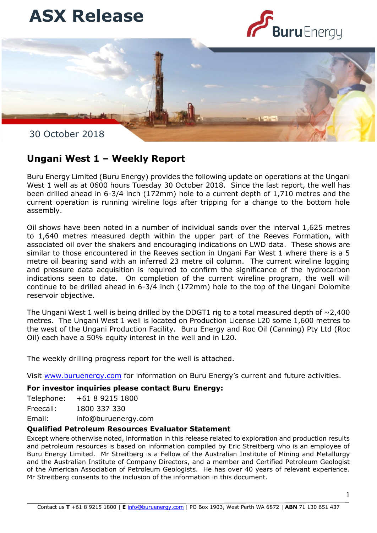



30 October 2018

## **Ungani West 1 – Weekly Report**

Buru Energy Limited (Buru Energy) provides the following update on operations at the Ungani West 1 well as at 0600 hours Tuesday 30 October 2018. Since the last report, the well has been drilled ahead in 6-3/4 inch (172mm) hole to a current depth of 1,710 metres and the current operation is running wireline logs after tripping for a change to the bottom hole assembly.

similar to those encountered in the Reeves section in Ungani Far West 1 where there is a 5 Oil shows have been noted in a number of individual sands over the interval 1,625 metres to 1,640 metres measured depth within the upper part of the Reeves Formation, with associated oil over the shakers and encouraging indications on LWD data. These shows are metre oil bearing sand with an inferred 23 metre oil column. The current wireline logging and pressure data acquisition is required to confirm the significance of the hydrocarbon indications seen to date. On completion of the current wireline program, the well will continue to be drilled ahead in 6-3/4 inch (172mm) hole to the top of the Ungani Dolomite reservoir objective.

The Ungani West 1 well is being drilled by the DDGT1 rig to a total measured depth of  $\sim$ 2,400 metres. The Ungani West 1 well is located on Production License L20 some 1,600 metres to the west of the Ungani Production Facility. Buru Energy and Roc Oil (Canning) Pty Ltd (Roc Oil) each have a 50% equity interest in the well and in L20.

The weekly drilling progress report for the well is attached.

Visit [www.buruenergy.com](http://www.buruenergy.com/) for information on Buru Energy's current and future activities.

## **For investor inquiries please contact Buru Energy:**

Telephone: +61 8 9215 1800

Freecall: 1800 337 330

Email: [info@buruenergy.com](mailto:info@buruenergy.com)

## **Qualified Petroleum Resources Evaluator Statement**

Except where otherwise noted, information in this release related to exploration and production results and petroleum resources is based on information compiled by Eric Streitberg who is an employee of Buru Energy Limited. Mr Streitberg is a Fellow of the Australian Institute of Mining and Metallurgy and the Australian Institute of Company Directors, and a member and Certified Petroleum Geologist of the American Association of Petroleum Geologists. He has over 40 years of relevant experience. Mr Streitberg consents to the inclusion of the information in this document.